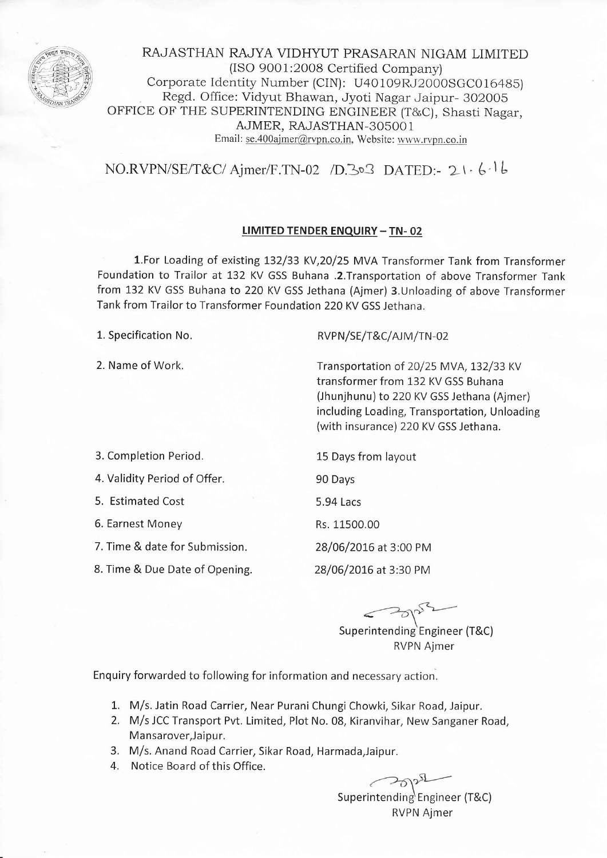

RAJASTHAN RAJYA VIDHYUT PRASARAN NIGAM LIMITED (ISO 9001:2008 Certified Company) Corporate identity Number (CIN): U40109RJ2000SGC016485) Regd. Office: Vidyut Bhawan, Jyoti Nagar Jaipur- 302005 OFFICE OF THE SUPERINTENDING ENGINEER (T&C), Shasti Nagar, AJMER, RAJASTHAN-3O5OO <sup>1</sup> Email: se.40Oaimer@rvpn.co.in, Website: www.rvpn.co.in

 $NO.RVPN/SE/T&C/Ajmer/F.TN-02 /D.303 DATED: -21.61b$ 

### LIMITED TENDER ENQUIRY - TN- 02

1.For Loading of existing L32/33 KV,20/25 MVA Transformer Tank from Transformer Foundation to Trailor at 132 KV GSS Buhana .2. Transportation of above Transformer Tank from L32 KV GSS Buhana to 22O KY GSS Jethana (Ajmer) 3.Unloading of above Transformer Tank from Trailor to Transformer Foundation 220 KV GSS Jethana.

1. Specification No.

2. Name of Work.

RVPN/SE/T&C/AJM/TN-02

Transportation of 20/25 MVA, 132/33 KV transformer from 132 KV GSS Buhana (Jhunjhunu) to 220 KV GSS Jethana (Ajmer) including Loading, Transportation, Unloading (with insurance) 220 KV GSS Jethana.

3. Completion Period.

4. Validity Period of Offer.

5. Estimated Cost

6. Earnest Money

7. Time & date for Submission.

8. Time & Due Date of Opening.

15 Days from layout 90 Days 5.94 Lacs Rs. 11500.00 28/06/2076 at 3:00 PM 28/06/2076 at 3:30 PM

 $\le$  spin  $\sim$ 

Superintending Engineer (T&C) RVPN Ajmer

Enquiry forwarded to following for information and necessary action.

- 1. M/s. Jatin Road Carrier, Near Purani Chungi Chowki, Sikar Road, Jaipur.
- 2. M/s JCC Transport Pvt. Limited, Plot No. 08, Kiranvihar, New Sanganer Road, Mansarover, Jaipur.
- 3. M/s. Anand Road Carrier, Sikar Road, Harmada,Jaipur.
- 4. Notice Board of this Office.

Superintending)  $\curvearrowright$ Engineer (T&C) RVPN Ajmer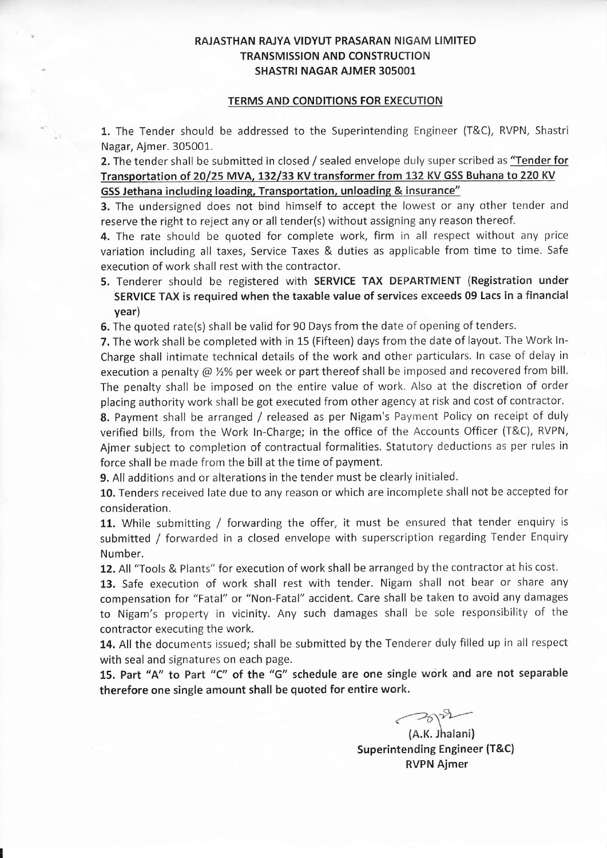## RAJASTHAN RAJYA VIDYUT PRASARAN NIGAM LIMITED TRANSMISSION AND CONSTRUCTION SHASTRI NAGAR AJMER 3O5OO1

#### TERMS AND CONDITIONS FOR EXECUTION

1. The Tender should be addressed to the Superintending Engineer (T&C), RVPN, Shastri Nagar, Ajmer. 305001.

2. The tender shall be submitted in closed / sealed envelope duly super scribed as "Tender for Transportation of 20/25 MVA, 132/33 KV transformer from 132 KV GSS Buhana to 220 KV GSS Jethana including loading, Transportation, unloading & insurance"

3. The undersigned does not bind himself to accept the lowest or any other tender and reserve the right to reject any or all tender(s) without assigning any reason thereof.

4. The rate should be quoted for complete work, firm in all respect without any price variation including all taxes, Service Taxes & duties as applicable from time to time. Safe execution of work shall rest with the contractor.

5. Tenderer should be registered with SERVICE TAX DEPARTMENT (Registration under SERVICE TAX is required when the taxable value of services exceeds 09 Lacs in a financial year)

6. The quoted rate(s) shall be valid for 90 Days from the date of opening of tenders.

7. The work shall be completed with in 15 (Fifteen) days from the date of layout. The Work ln-Charge shall intimate technical details of the work and other particulars. In case of delay in execution a penalty  $@$  %% per week or part thereof shall be imposed and recovered from bill. The penalty shall be imposed on the entire value of work. Also at the discretion of order placing authority work shall be got executed from other agency at risk and cost of contractor.

8. Payment shall be arranged / released as per Nigam's Payment Policy on receipt of duly verified bills, from the Work ln-Charge; in the office of the Accounts Officer (T&C), RVPN, Ajmer subject to completion of contractual formalities. Statutory deductions as per rules in force shall be made from the bill at the time of payment.

9. All additions and or alterations in the tender must be clearly initialed.

10. Tenders received late due to any reason or which are incomplete shall not be accepted for consideration.

11. While submitting / forwarding the offer, it must be ensured that tender enquiry is submitted / forwarded in a closed envelope with superscription regarding Tender Enquiry Number.

12. All "Tools & Plants" for execution of work shall be arranged by the contractor at his cost.

13. Safe execution of work shall rest with tender. Nigam shall not bear or share any compensation for "Fatal" or "Non-Fatal" accident. Care shall be taken to avoid any damages to Nigam's property in vicinity. Any such damages shall be sole responslbility of the contractor executing the work.

14. All the documents issued; shall be submitted by the Tenderer duly filled up in all respect with seal and signatures on each page.

15. Part "A" to Part "C" of the "G" schedule are one single work and are not separable therefore one single amount shall be quoted for entire work.

 $\rightarrow$ 

(A.K. Jhalani) Superintending Engineer {T&C) RVPN Ajmer